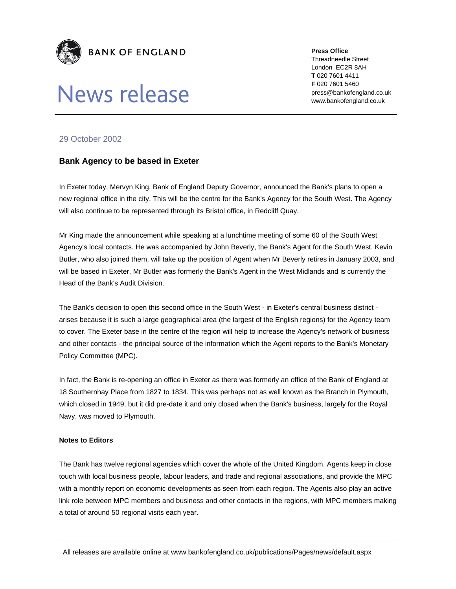

## News release

**Press Office** 

Threadneedle Street London EC2R 8AH **T** 020 7601 4411 **F** 020 7601 5460 press@bankofengland.co.uk www.bankofengland.co.uk

## 29 October 2002

## **Bank Agency to be based in Exeter**

In Exeter today, Mervyn King, Bank of England Deputy Governor, announced the Bank's plans to open a new regional office in the city. This will be the centre for the Bank's Agency for the South West. The Agency will also continue to be represented through its Bristol office, in Redcliff Quay.

Mr King made the announcement while speaking at a lunchtime meeting of some 60 of the South West Agency's local contacts. He was accompanied by John Beverly, the Bank's Agent for the South West. Kevin Butler, who also joined them, will take up the position of Agent when Mr Beverly retires in January 2003, and will be based in Exeter. Mr Butler was formerly the Bank's Agent in the West Midlands and is currently the Head of the Bank's Audit Division.

The Bank's decision to open this second office in the South West - in Exeter's central business district arises because it is such a large geographical area (the largest of the English regions) for the Agency team to cover. The Exeter base in the centre of the region will help to increase the Agency's network of business and other contacts - the principal source of the information which the Agent reports to the Bank's Monetary Policy Committee (MPC).

In fact, the Bank is re-opening an office in Exeter as there was formerly an office of the Bank of England at 18 Southernhay Place from 1827 to 1834. This was perhaps not as well known as the Branch in Plymouth, which closed in 1949, but it did pre-date it and only closed when the Bank's business, largely for the Royal Navy, was moved to Plymouth.

## **Notes to Editors**

The Bank has twelve regional agencies which cover the whole of the United Kingdom. Agents keep in close touch with local business people, labour leaders, and trade and regional associations, and provide the MPC with a monthly report on economic developments as seen from each region. The Agents also play an active link role between MPC members and business and other contacts in the regions, with MPC members making a total of around 50 regional visits each year.